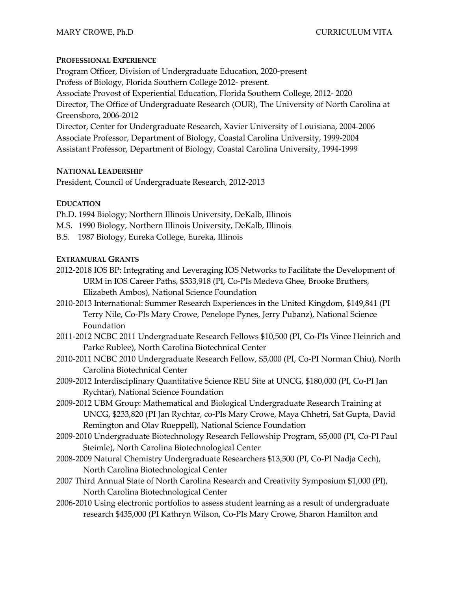### **PROFESSIONAL EXPERIENCE**

Program Officer, Division of Undergraduate Education, 2020-present Profess of Biology, Florida Southern College 2012- present. Associate Provost of Experiential Education, Florida Southern College, 2012- 2020 Director, The Office of Undergraduate Research (OUR), The University of North Carolina at Greensboro, 2006-2012 Director, Center for Undergraduate Research, Xavier University of Louisiana, 2004-2006 Associate Professor, Department of Biology, Coastal Carolina University, 1999-2004 Assistant Professor, Department of Biology, Coastal Carolina University, 1994-1999

### **NATIONAL LEADERSHIP**

President, Council of Undergraduate Research, 2012-2013

# **EDUCATION**

- Ph.D. 1994 Biology; Northern Illinois University, DeKalb, Illinois
- M.S. 1990 Biology, Northern Illinois University, DeKalb, Illinois
- B.S. 1987 Biology, Eureka College, Eureka, Illinois

# **EXTRAMURAL GRANTS**

- 2012-2018 IOS BP: Integrating and Leveraging IOS Networks to Facilitate the Development of URM in IOS Career Paths, \$533,918 (PI, Co-PIs Medeva Ghee, Brooke Bruthers, Elizabeth Ambos), National Science Foundation
- 2010-2013 International: Summer Research Experiences in the United Kingdom, \$149,841 (PI Terry Nile, Co-PIs Mary Crowe, Penelope Pynes, Jerry Pubanz), National Science Foundation
- 2011-2012 NCBC 2011 Undergraduate Research Fellows \$10,500 (PI, Co-PIs Vince Heinrich and Parke Rublee), North Carolina Biotechnical Center
- 2010-2011 NCBC 2010 Undergraduate Research Fellow, \$5,000 (PI, Co-PI Norman Chiu), North Carolina Biotechnical Center
- 2009-2012 Interdisciplinary Quantitative Science REU Site at UNCG, \$180,000 (PI, Co-PI Jan Rychtar), National Science Foundation
- 2009-2012 UBM Group: Mathematical and Biological Undergraduate Research Training at UNCG, \$233,820 (PI Jan Rychtar, co-PIs Mary Crowe, Maya Chhetri, Sat Gupta, David Remington and Olav Rueppell), National Science Foundation
- 2009-2010 Undergraduate Biotechnology Research Fellowship Program, \$5,000 (PI, Co-PI Paul Steimle), North Carolina Biotechnological Center
- 2008-2009 Natural Chemistry Undergraduate Researchers \$13,500 (PI, Co-PI Nadja Cech), North Carolina Biotechnological Center
- 2007 Third Annual State of North Carolina Research and Creativity Symposium \$1,000 (PI), North Carolina Biotechnological Center
- 2006-2010 Using electronic portfolios to assess student learning as a result of undergraduate research \$435,000 (PI Kathryn Wilson, Co-PIs Mary Crowe, Sharon Hamilton and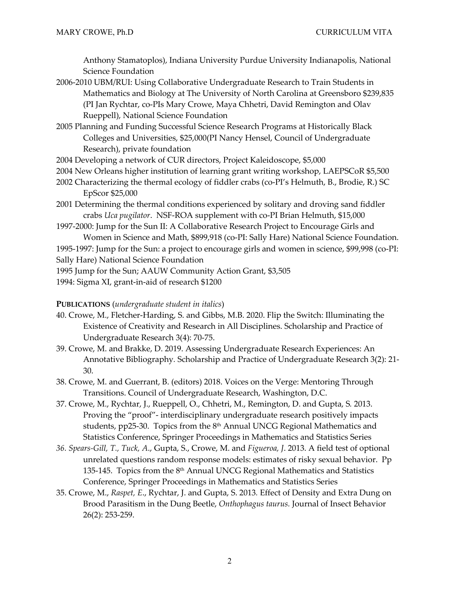Anthony Stamatoplos), Indiana University Purdue University Indianapolis, National Science Foundation

- 2006-2010 UBM/RUI: Using Collaborative Undergraduate Research to Train Students in Mathematics and Biology at The University of North Carolina at Greensboro \$239,835 (PI Jan Rychtar, co-PIs Mary Crowe, Maya Chhetri, David Remington and Olav Rueppell), National Science Foundation
- 2005 Planning and Funding Successful Science Research Programs at Historically Black Colleges and Universities, \$25,000(PI Nancy Hensel, Council of Undergraduate Research), private foundation
- 2004 Developing a network of CUR directors, Project Kaleidoscope, \$5,000
- 2004 New Orleans higher institution of learning grant writing workshop, LAEPSCoR \$5,500
- 2002 Characterizing the thermal ecology of fiddler crabs (co-PI's Helmuth, B., Brodie, R.) SC EpScor \$25,000
- 2001 Determining the thermal conditions experienced by solitary and droving sand fiddler crabs *Uca pugilator*. NSF-ROA supplement with co-PI Brian Helmuth, \$15,000
- 1997-2000: Jump for the Sun II: A Collaborative Research Project to Encourage Girls and Women in Science and Math, \$899,918 (co-PI: Sally Hare) National Science Foundation.

1995-1997: Jump for the Sun: a project to encourage girls and women in science, \$99,998 (co-PI: Sally Hare) National Science Foundation

1995 Jump for the Sun; AAUW Community Action Grant, \$3,505

1994: Sigma XI, grant-in-aid of research \$1200

#### **PUBLICATIONS** (*undergraduate student in italics*)

- 40. Crowe, M., Fletcher-Harding, S. and Gibbs, M.B. 2020. Flip the Switch: Illuminating the Existence of Creativity and Research in All Disciplines. Scholarship and Practice of Undergraduate Research 3(4): 70-75.
- 39. Crowe, M. and Brakke, D. 2019. Assessing Undergraduate Research Experiences: An Annotative Bibliography*.* Scholarship and Practice of Undergraduate Research 3(2): 21- 30.
- 38. Crowe, M. and Guerrant, B. (editors) 2018. Voices on the Verge: Mentoring Through Transitions. Council of Undergraduate Research, Washington, D.C.
- 37. Crowe, M., Rychtar, J., Rueppell, O., Chhetri, M., Remington, D. and Gupta, S*.* 2013. Proving the "proof"- interdisciplinary undergraduate research positively impacts students, pp25-30. Topics from the 8<sup>th</sup> Annual UNCG Regional Mathematics and Statistics Conference, Springer Proceedings in Mathematics and Statistics Series
- *36. Spears-Gill, T., Tuck, A*., Gupta, S., Crowe, M. and *Figueroa, J*. 2013. A field test of optional unrelated questions random response models: estimates of risky sexual behavior. Pp 135-145. Topics from the  $8<sup>th</sup>$  Annual UNCG Regional Mathematics and Statistics Conference, Springer Proceedings in Mathematics and Statistics Series
- 35. Crowe, M., *Raspet, E*., Rychtar, J. and Gupta, S. 2013*.* Effect of Density and Extra Dung on Brood Parasitism in the Dung Beetle, *Onthophagus taurus.* Journal of Insect Behavior 26(2): 253-259.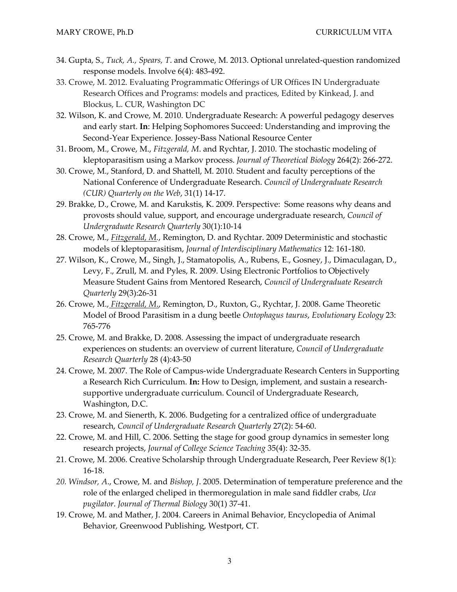- 34. Gupta, S., *Tuck, A., Spears, T*. and Crowe, M. 2013. Optional unrelated-question randomized response models. Involve 6(4): 483-492.
- 33. Crowe, M. 2012. Evaluating Programmatic Offerings of UR Offices IN Undergraduate Research Offices and Programs: models and practices, Edited by Kinkead, J. and Blockus, L. CUR, Washington DC
- 32. Wilson, K. and Crowe, M. 2010. Undergraduate Research: A powerful pedagogy deserves and early start. **In**: Helping Sophomores Succeed: Understanding and improving the Second-Year Experience. Jossey-Bass National Resource Center
- 31. Broom, M., Crowe, M., *Fitzgerald, M*. and Rychtar, J. 2010. The stochastic modeling of kleptoparasitism using a Markov process. *Journal of Theoretical Biology* 264(2): 266-272.
- 30. Crowe, M., Stanford, D. and Shattell, M. 2010*.* Student and faculty perceptions of the National Conference of Undergraduate Research. *Council of Undergraduate Research (CUR) Quarterly on the Web*, 31(1) 14-17.
- 29. Brakke, D., Crowe, M. and Karukstis, K. 2009. Perspective: Some reasons why deans and provosts should value, support, and encourage undergraduate research, *Council of Undergraduate Research Quarterly* 30(1):10-14
- 28. Crowe, M., *Fitzgerald, M.*, Remington, D. and Rychtar. 2009 Deterministic and stochastic models of kleptoparasitism, *Journal of Interdisciplinary Mathematics* 12: 161-180.
- 27. Wilson, K., Crowe, M., Singh, J., Stamatopolis, A., Rubens, E., Gosney, J., Dimaculagan, D., Levy, F., Zrull, M. and Pyles, R. 2009. Using Electronic Portfolios to Objectively Measure Student Gains from Mentored Research, *Council of Undergraduate Research Quarterly* 29(3):26-31
- 26. Crowe, M., *Fitzgerald, M*., Remington, D., Ruxton, G., Rychtar, J. 2008. Game Theoretic Model of Brood Parasitism in a dung beetle *Ontophagus taurus*, *Evolutionary Ecology* 23: 765-776
- 25. Crowe, M. and Brakke, D. 2008. Assessing the impact of undergraduate research experiences on students: an overview of current literature, *Council of Undergraduate Research Quarterly* 28 (4):43-50
- 24. Crowe, M. 2007. The Role of Campus-wide Undergraduate Research Centers in Supporting a Research Rich Curriculum. **In:** How to Design, implement, and sustain a researchsupportive undergraduate curriculum. Council of Undergraduate Research, Washington, D.C.
- 23. Crowe, M. and Sienerth, K. 2006. Budgeting for a centralized office of undergraduate research, *Council of Undergraduate Research Quarterly* 27(2): 54-60.
- 22. Crowe, M. and Hill, C. 2006. Setting the stage for good group dynamics in semester long research projects, *Journal of College Science Teaching* 35(4): 32-35.
- 21. Crowe, M. 2006. Creative Scholarship through Undergraduate Research, Peer Review 8(1): 16-18.
- *20. Windsor, A*., Crowe, M. and *Bishop, J*. 2005. Determination of temperature preference and the role of the enlarged cheliped in thermoregulation in male sand fiddler crabs, *Uca pugilator*. *Journal of Thermal Biology* 30(1) 37-41.
- 19. Crowe, M. and Mather, J. 2004. Careers in Animal Behavior, Encyclopedia of Animal Behavior*,* Greenwood Publishing, Westport, CT.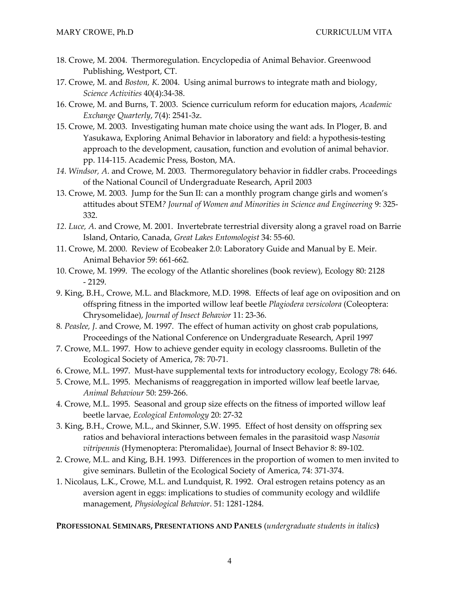- 18. Crowe, M. 2004. Thermoregulation. Encyclopedia of Animal Behavior. Greenwood Publishing, Westport, CT.
- 17. Crowe, M. and *Boston, K*. 2004. Using animal burrows to integrate math and biology, *Science Activities* 40(4):34-38.
- 16. Crowe, M. and Burns, T. 2003. Science curriculum reform for education majors, *Academic Exchange Quarterly*, 7(4): 2541-3z.
- 15. Crowe, M. 2003. Investigating human mate choice using the want ads. In Ploger, B. and Yasukawa, Exploring Animal Behavior in laboratory and field: a hypothesis-testing approach to the development, causation, function and evolution of animal behavior. pp. 114-115. Academic Press, Boston, MA.
- *14. Windsor, A*. and Crowe, M. 2003. Thermoregulatory behavior in fiddler crabs. Proceedings of the National Council of Undergraduate Research, April 2003
- 13. Crowe, M. 2003. Jump for the Sun II: can a monthly program change girls and women's attitudes about STEM*? Journal of Women and Minorities in Science and Engineering* 9: 325- 332.
- *12. Luce, A*. and Crowe, M. 2001. Invertebrate terrestrial diversity along a gravel road on Barrie Island, Ontario, Canada, *Great Lakes Entomologist* 34: 55-60.
- 11. Crowe, M. 2000. Review of Ecobeaker 2.0: Laboratory Guide and Manual by E. Meir. Animal Behavior 59: 661-662.
- 10. Crowe, M. 1999. The ecology of the Atlantic shorelines (book review), Ecology 80: 2128 - 2129.
- 9. King, B.H., Crowe, M.L. and Blackmore, M.D. 1998. Effects of leaf age on oviposition and on offspring fitness in the imported willow leaf beetle *Plagiodera versicolora* (Coleoptera: Chrysomelidae), *Journal of Insect Behavior* 11: 23-36.
- 8*. Peaslee, J*. and Crowe, M. 1997. The effect of human activity on ghost crab populations, Proceedings of the National Conference on Undergraduate Research, April 1997
- 7. Crowe, M.L. 1997. How to achieve gender equity in ecology classrooms. Bulletin of the Ecological Society of America, 78: 70-71.
- 6. Crowe, M.L. 1997. Must-have supplemental texts for introductory ecology, Ecology 78: 646.
- 5. Crowe, M.L. 1995. Mechanisms of reaggregation in imported willow leaf beetle larvae, *Animal Behaviour* 50: 259-266.
- 4. Crowe, M.L. 1995. Seasonal and group size effects on the fitness of imported willow leaf beetle larvae, *Ecological Entomology* 20: 27-32
- 3. King, B.H., Crowe, M.L., and Skinner, S.W. 1995. Effect of host density on offspring sex ratios and behavioral interactions between females in the parasitoid wasp *Nasonia vitripennis* (Hymenoptera: Pteromalidae), Journal of Insect Behavior 8: 89-102.
- 2. Crowe, M.L. and King, B.H. 1993. Differences in the proportion of women to men invited to give seminars. Bulletin of the Ecological Society of America, 74: 371-374.
- 1. Nicolaus, L.K., Crowe, M.L. and Lundquist, R. 1992. Oral estrogen retains potency as an aversion agent in eggs: implications to studies of community ecology and wildlife management, *Physiological Behavior*. 51: 1281-1284.

**PROFESSIONAL SEMINARS, PRESENTATIONS AND PANELS** (*undergraduate students in italics***)**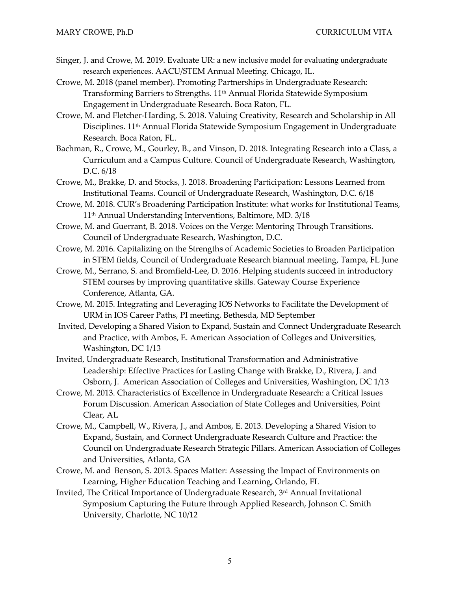- Singer, J. and Crowe, M. 2019. Evaluate UR: a new inclusive model for evaluating undergraduate research experiences. AACU/STEM Annual Meeting. Chicago, IL.
- Crowe, M. 2018 (panel member). Promoting Partnerships in Undergraduate Research: Transforming Barriers to Strengths. 11th Annual Florida Statewide Symposium Engagement in Undergraduate Research. Boca Raton, FL.
- Crowe, M. and Fletcher-Harding, S. 2018. Valuing Creativity, Research and Scholarship in All Disciplines. 11<sup>th</sup> Annual Florida Statewide Symposium Engagement in Undergraduate Research. Boca Raton, FL.
- Bachman, R., Crowe, M., Gourley, B., and Vinson, D. 2018. Integrating Research into a Class, a Curriculum and a Campus Culture. Council of Undergraduate Research, Washington, D.C. 6/18
- Crowe, M., Brakke, D. and Stocks, J. 2018. Broadening Participation: Lessons Learned from Institutional Teams. Council of Undergraduate Research, Washington, D.C. 6/18
- Crowe, M. 2018. CUR's Broadening Participation Institute: what works for Institutional Teams, 11th Annual Understanding Interventions, Baltimore, MD. 3/18
- Crowe, M. and Guerrant, B. 2018. Voices on the Verge: Mentoring Through Transitions. Council of Undergraduate Research, Washington, D.C.
- Crowe, M. 2016. Capitalizing on the Strengths of Academic Societies to Broaden Participation in STEM fields, Council of Undergraduate Research biannual meeting, Tampa, FL June
- Crowe, M., Serrano, S. and Bromfield-Lee, D. 2016. Helping students succeed in introductory STEM courses by improving quantitative skills. Gateway Course Experience Conference, Atlanta, GA.
- Crowe, M. 2015. Integrating and Leveraging IOS Networks to Facilitate the Development of URM in IOS Career Paths, PI meeting, Bethesda, MD September
- Invited, Developing a Shared Vision to Expand, Sustain and Connect Undergraduate Research and Practice, with Ambos, E. American Association of Colleges and Universities, Washington, DC 1/13
- Invited, Undergraduate Research, Institutional Transformation and Administrative Leadership: Effective Practices for Lasting Change with Brakke, D., Rivera, J. and Osborn, J. American Association of Colleges and Universities, Washington, DC 1/13
- Crowe, M. 2013. Characteristics of Excellence in Undergraduate Research: a Critical Issues Forum Discussion. American Association of State Colleges and Universities, Point Clear, AL
- Crowe, M., Campbell, W., Rivera, J., and Ambos, E. 2013. Developing a Shared Vision to Expand, Sustain, and Connect Undergraduate Research Culture and Practice: the Council on Undergraduate Research Strategic Pillars. American Association of Colleges and Universities, Atlanta, GA
- Crowe, M. and Benson, S. 2013. Spaces Matter: Assessing the Impact of Environments on Learning, Higher Education Teaching and Learning, Orlando, FL
- Invited, The Critical Importance of Undergraduate Research, 3rd Annual Invitational Symposium Capturing the Future through Applied Research, Johnson C. Smith University, Charlotte, NC 10/12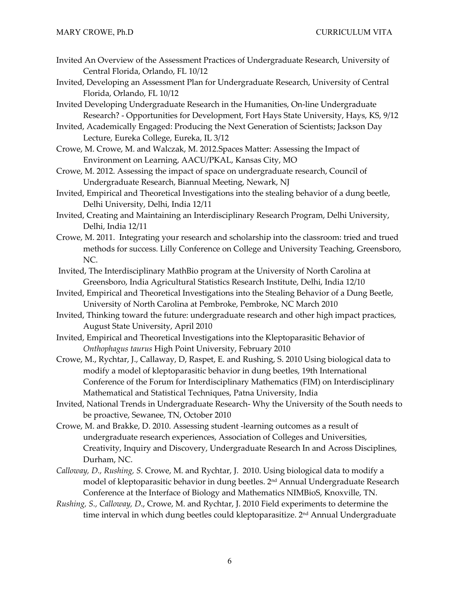- Invited An Overview of the Assessment Practices of Undergraduate Research, University of Central Florida, Orlando, FL 10/12
- Invited, Developing an Assessment Plan for Undergraduate Research, University of Central Florida, Orlando, FL 10/12
- Invited Developing Undergraduate Research in the Humanities, On-line Undergraduate Research? - Opportunities for Development, Fort Hays State University, Hays, KS, 9/12
- Invited, Academically Engaged: Producing the Next Generation of Scientists; Jackson Day Lecture, Eureka College, Eureka, IL 3/12
- Crowe, M. Crowe, M. and Walczak, M. 2012.Spaces Matter: Assessing the Impact of Environment on Learning, AACU/PKAL, Kansas City, MO
- Crowe, M. 2012. Assessing the impact of space on undergraduate research, Council of Undergraduate Research, Biannual Meeting, Newark, NJ
- Invited, Empirical and Theoretical Investigations into the stealing behavior of a dung beetle, Delhi University, Delhi, India 12/11
- Invited, Creating and Maintaining an Interdisciplinary Research Program, Delhi University, Delhi, India 12/11
- Crowe, M. 2011. Integrating your research and scholarship into the classroom: tried and trued methods for success. Lilly Conference on College and University Teaching, Greensboro, NC.
- Invited, The Interdisciplinary MathBio program at the University of North Carolina at Greensboro, India Agricultural Statistics Research Institute, Delhi, India 12/10
- Invited, Empirical and Theoretical Investigations into the Stealing Behavior of a Dung Beetle, University of North Carolina at Pembroke, Pembroke, NC March 2010
- Invited, Thinking toward the future: undergraduate research and other high impact practices, August State University, April 2010
- Invited, Empirical and Theoretical Investigations into the Kleptoparasitic Behavior of *Onthophagus taurus* High Point University, February 2010
- Crowe, M., Rychtar, J., Callaway, D, Raspet, E. and Rushing, S. 2010 Using biological data to modify a model of kleptoparasitic behavior in dung beetles, 19th International Conference of the Forum for Interdisciplinary Mathematics (FIM) on Interdisciplinary Mathematical and Statistical Techniques, Patna University, India
- Invited, National Trends in Undergraduate Research- Why the University of the South needs to be proactive, Sewanee, TN, October 2010
- Crowe, M. and Brakke, D. 2010. Assessing student -learning outcomes as a result of undergraduate research experiences, Association of Colleges and Universities, Creativity, Inquiry and Discovery, Undergraduate Research In and Across Disciplines, Durham, NC.
- *Calloway, D., Rushing, S.* Crowe, M. and Rychtar, J.2010. Using biological data to modify a model of kleptoparasitic behavior in dung beetles. 2nd Annual Undergraduate Research Conference at the Interface of Biology and Mathematics NIMBioS, Knoxville, TN.
- *Rushing, S., Calloway, D*., Crowe, M. and Rychtar, J. 2010 Field experiments to determine the time interval in which dung beetles could kleptoparasitize. 2<sup>nd</sup> Annual Undergraduate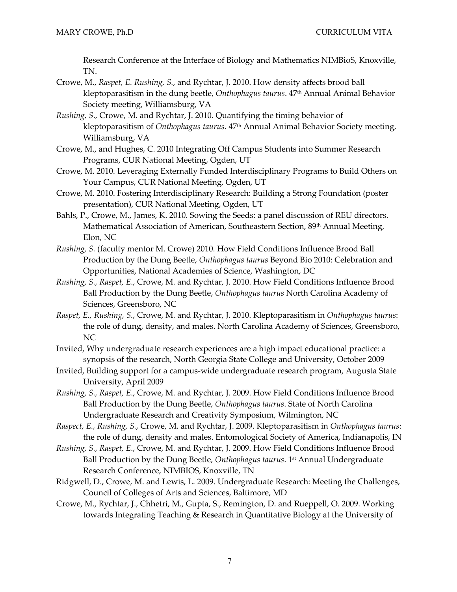Research Conference at the Interface of Biology and Mathematics NIMBioS, Knoxville, TN.

- Crowe, M., *Raspet, E. Rushing, S.*, and Rychtar, J. 2010. How density affects brood ball kleptoparasitism in the dung beetle, *Onthophagus taurus*. 47th Annual Animal Behavior Society meeting, Williamsburg, VA
- *Rushing, S*., Crowe, M. and Rychtar, J. 2010. Quantifying the timing behavior of kleptoparasitism of *Onthophagus taurus*. 47th Annual Animal Behavior Society meeting, Williamsburg, VA
- Crowe, M., and Hughes, C. 2010 Integrating Off Campus Students into Summer Research Programs, CUR National Meeting, Ogden, UT
- Crowe, M. 2010. Leveraging Externally Funded Interdisciplinary Programs to Build Others on Your Campus, CUR National Meeting, Ogden, UT
- Crowe, M. 2010. Fostering Interdisciplinary Research: Building a Strong Foundation (poster presentation), CUR National Meeting, Ogden, UT
- Bahls, P., Crowe, M., James, K. 2010. Sowing the Seeds: a panel discussion of REU directors. Mathematical Association of American, Southeastern Section, 89th Annual Meeting, Elon, NC
- *Rushing, S.* (faculty mentor M. Crowe) 2010. How Field Conditions Influence Brood Ball Production by the Dung Beetle, *Onthophagus taurus* Beyond Bio 2010: Celebration and Opportunities, National Academies of Science, Washington, DC
- *Rushing, S., Raspet, E*., Crowe, M. and Rychtar, J. 2010. How Field Conditions Influence Brood Ball Production by the Dung Beetle, *Onthophagus taurus* North Carolina Academy of Sciences, Greensboro, NC
- *Raspet, E., Rushing, S.*, Crowe, M. and Rychtar, J. 2010. Kleptoparasitism in *Onthophagus taurus*: the role of dung, density, and males. North Carolina Academy of Sciences, Greensboro, NC
- Invited, Why undergraduate research experiences are a high impact educational practice: a synopsis of the research, North Georgia State College and University, October 2009
- Invited, Building support for a campus-wide undergraduate research program, Augusta State University, April 2009
- *Rushing, S., Raspet, E*., Crowe, M. and Rychtar, J. 2009. How Field Conditions Influence Brood Ball Production by the Dung Beetle, *Onthophagus taurus*. State of North Carolina Undergraduate Research and Creativity Symposium, Wilmington, NC
- *Raspect, E., Rushing, S.*, Crowe, M. and Rychtar, J. 2009. Kleptoparasitism in *Onthophagus taurus*: the role of dung, density and males. Entomological Society of America, Indianapolis, IN
- *Rushing, S., Raspet, E*., Crowe, M. and Rychtar, J. 2009. How Field Conditions Influence Brood Ball Production by the Dung Beetle, *Onthophagus taurus*. 1st Annual Undergraduate Research Conference, NIMBIOS, Knoxville, TN
- Ridgwell, D., Crowe, M. and Lewis, L. 2009. Undergraduate Research: Meeting the Challenges, Council of Colleges of Arts and Sciences, Baltimore, MD
- Crowe, M., Rychtar, J., Chhetri, M., Gupta, S., Remington, D. and Rueppell, O. 2009. Working towards Integrating Teaching & Research in Quantitative Biology at the University of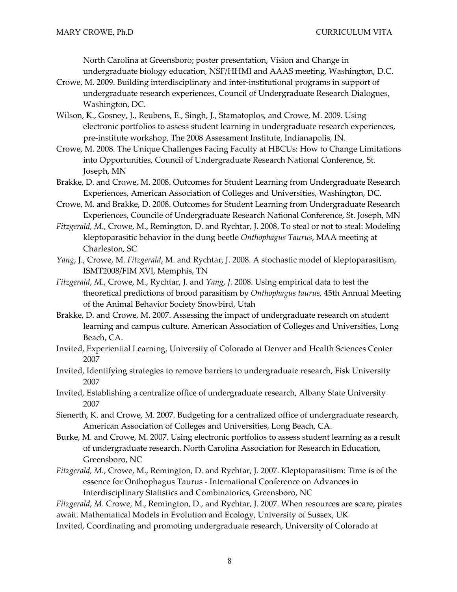North Carolina at Greensboro; poster presentation, Vision and Change in undergraduate biology education, NSF/HHMI and AAAS meeting, Washington, D.C.

- Crowe, M. 2009. Building interdisciplinary and inter-institutional programs in support of undergraduate research experiences, Council of Undergraduate Research Dialogues, Washington, DC.
- Wilson, K., Gosney, J., Reubens, E., Singh, J., Stamatoplos, and Crowe, M. 2009. Using electronic portfolios to assess student learning in undergraduate research experiences, pre-institute workshop, The 2008 Assessment Institute, Indianapolis, IN.
- Crowe, M. 2008. The Unique Challenges Facing Faculty at HBCUs: How to Change Limitations into Opportunities, Council of Undergraduate Research National Conference, St. Joseph, MN
- Brakke, D. and Crowe, M. 2008. Outcomes for Student Learning from Undergraduate Research Experiences, American Association of Colleges and Universities, Washington, DC.
- Crowe, M. and Brakke, D. 2008. Outcomes for Student Learning from Undergraduate Research Experiences, Councile of Undergraduate Research National Conference, St. Joseph, MN
- *Fitzgerald, M*., Crowe, M., Remington, D. and Rychtar, J. 2008. To steal or not to steal: Modeling kleptoparasitic behavior in the dung beetle *Onthophagus Taurus*, MAA meeting at Charleston, SC
- *Yang*, J., Crowe, M. *Fitzgerald*, M. and Rychtar, J. 2008. A stochastic model of kleptoparasitism, ISMT2008/FIM XVI, Memphis, TN
- *Fitzgerald*, *M*., Crowe, M., Rychtar, J. and *Yang, J.* 2008. Using empirical data to test the theoretical predictions of brood parasitism by *Onthophagus taurus,* 45th Annual Meeting of the Animal Behavior Society Snowbird, Utah
- Brakke, D. and Crowe, M. 2007. Assessing the impact of undergraduate research on student learning and campus culture. American Association of Colleges and Universities, Long Beach, CA.
- Invited, Experiential Learning, University of Colorado at Denver and Health Sciences Center 2007
- Invited, Identifying strategies to remove barriers to undergraduate research, Fisk University 2007
- Invited, Establishing a centralize office of undergraduate research, Albany State University 2007
- Sienerth, K. and Crowe, M. 2007. Budgeting for a centralized office of undergraduate research, American Association of Colleges and Universities, Long Beach, CA.
- Burke, M. and Crowe, M. 2007. Using electronic portfolios to assess student learning as a result of undergraduate research. North Carolina Association for Research in Education, Greensboro, NC
- *Fitzgerald, M*., Crowe, M., Remington, D. and Rychtar, J. 2007. Kleptoparasitism: Time is of the essence for Onthophagus Taurus - International Conference on Advances in Interdisciplinary Statistics and Combinatorics, Greensboro, NC

*Fitzgerald*, *M*. Crowe, M., Remington, D., and Rychtar, J. 2007. When resources are scare, pirates await. Mathematical Models in Evolution and Ecology, University of Sussex, UK

Invited, Coordinating and promoting undergraduate research, University of Colorado at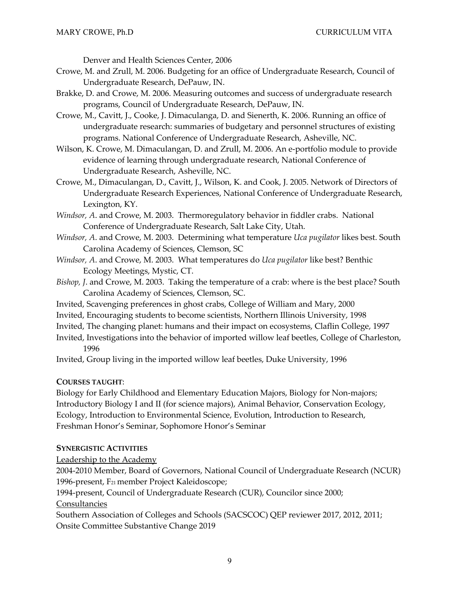Denver and Health Sciences Center, 2006

- Crowe, M. and Zrull, M. 2006. Budgeting for an office of Undergraduate Research, Council of Undergraduate Research, DePauw, IN.
- Brakke, D. and Crowe, M. 2006. Measuring outcomes and success of undergraduate research programs, Council of Undergraduate Research, DePauw, IN.
- Crowe, M., Cavitt, J., Cooke, J. Dimaculanga, D. and Sienerth, K. 2006. Running an office of undergraduate research: summaries of budgetary and personnel structures of existing programs. National Conference of Undergraduate Research, Asheville, NC.
- Wilson, K. Crowe, M. Dimaculangan, D. and Zrull, M. 2006. An e-portfolio module to provide evidence of learning through undergraduate research, National Conference of Undergraduate Research, Asheville, NC.
- Crowe, M., Dimaculangan, D., Cavitt, J., Wilson, K. and Cook, J. 2005. Network of Directors of Undergraduate Research Experiences, National Conference of Undergraduate Research, Lexington, KY.
- *Windsor, A*. and Crowe, M. 2003. Thermoregulatory behavior in fiddler crabs. National Conference of Undergraduate Research, Salt Lake City, Utah.
- *Windsor, A*. and Crowe, M. 2003. Determining what temperature *Uca pugilator* likes best. South Carolina Academy of Sciences, Clemson, SC
- *Windsor, A*. and Crowe, M. 2003. What temperatures do *Uca pugilator* like best? Benthic Ecology Meetings, Mystic, CT.
- *Bishop, J*. and Crowe, M. 2003. Taking the temperature of a crab: where is the best place? South Carolina Academy of Sciences, Clemson, SC.
- Invited, Scavenging preferences in ghost crabs, College of William and Mary, 2000
- Invited, Encouraging students to become scientists, Northern Illinois University, 1998
- Invited, The changing planet: humans and their impact on ecosystems, Claflin College, 1997
- Invited, Investigations into the behavior of imported willow leaf beetles, College of Charleston, 1996

Invited, Group living in the imported willow leaf beetles, Duke University, 1996

### **COURSES TAUGHT**:

Biology for Early Childhood and Elementary Education Majors, Biology for Non-majors; Introductory Biology I and II (for science majors), Animal Behavior, Conservation Ecology, Ecology, Introduction to Environmental Science, Evolution, Introduction to Research, Freshman Honor's Seminar, Sophomore Honor's Seminar

### **SYNERGISTIC ACTIVITIES**

Leadership to the Academy

2004-2010 Member, Board of Governors, National Council of Undergraduate Research (NCUR) 1996-present, F21 member Project Kaleidoscope;

1994-present, Council of Undergraduate Research (CUR), Councilor since 2000;

Consultancies

Southern Association of Colleges and Schools (SACSCOC) QEP reviewer 2017, 2012, 2011; Onsite Committee Substantive Change 2019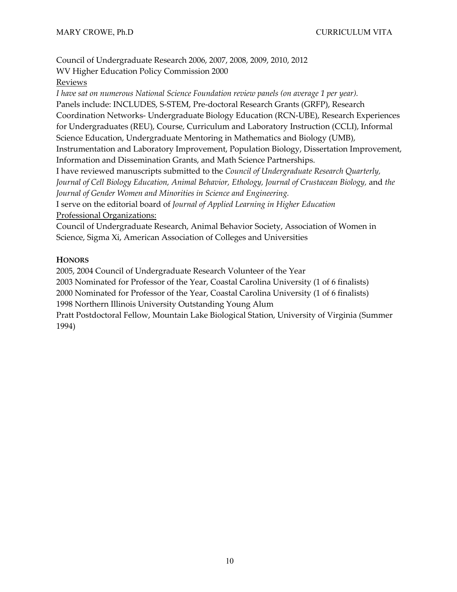Council of Undergraduate Research 2006, 2007, 2008, 2009, 2010, 2012 WV Higher Education Policy Commission 2000

# Reviews

*I have sat on numerous National Science Foundation review panels (on average 1 per year).* Panels include: INCLUDES, S-STEM, Pre-doctoral Research Grants (GRFP), Research Coordination Networks- Undergraduate Biology Education (RCN-UBE), Research Experiences for Undergraduates (REU), Course, Curriculum and Laboratory Instruction (CCLI), Informal Science Education, Undergraduate Mentoring in Mathematics and Biology (UMB), Instrumentation and Laboratory Improvement, Population Biology, Dissertation Improvement, Information and Dissemination Grants, and Math Science Partnerships. I have reviewed manuscripts submitted to the *Council of Undergraduate Research Quarterly, Journal of Cell Biology Education, Animal Behavior, Ethology, Journal of Crustacean Biology,* and *the Journal of Gender Women and Minorities in Science and Engineering.* I serve on the editorial board of *Journal of Applied Learning in Higher Education* Professional Organizations: Council of Undergraduate Research, Animal Behavior Society, Association of Women in Science, Sigma Xi, American Association of Colleges and Universities

# **HONORS**

2005, 2004 Council of Undergraduate Research Volunteer of the Year

2003 Nominated for Professor of the Year, Coastal Carolina University (1 of 6 finalists)

2000 Nominated for Professor of the Year, Coastal Carolina University (1 of 6 finalists)

1998 Northern Illinois University Outstanding Young Alum

Pratt Postdoctoral Fellow, Mountain Lake Biological Station, University of Virginia (Summer 1994)